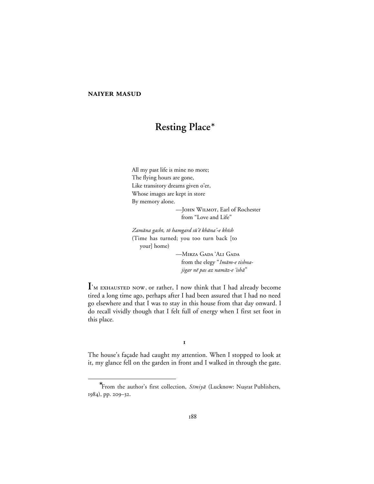## **NAIYER MASUD**

# **Resting Place**<sup>∗</sup>

All my past life is mine no more; The flying hours are gone, Like transitory dreams given o'er, Whose images are kept in store By memory alone. — ЈОНN WILMOT, Earl of Rochester from "Love and Life"

Zamāna gasht, tō hamgard sū'ē khāna'-e khīsh (Time has turned; you too turn back [to your] home)

> —MIRZA GADA 'ALI GADA from the elegy "Imām-e tishnajigar nē pas az namāz-e 'ishā"

I'M EXHAUSTED NOW, or rather, I now think that I had already become tired a long time ago, perhaps after I had been assured that I had no need go elsewhere and that I was to stay in this house from that day onward. I do recall vividly though that I felt full of energy when I first set foot in this place.

The house's façade had caught my attention. When I stopped to look at it, my glance fell on the garden in front and I walked in through the gate.

 $\mathbf I$ 

<sup>∗</sup> From the author's first collection,  $Simiy\bar{a}$  (Lucknow: Nuṣrat Publishers, 1984), pp. 209-32.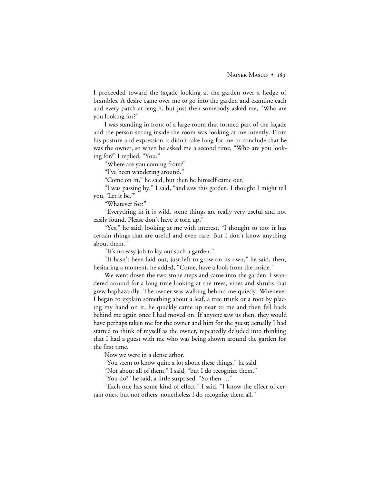I proceeded toward the façade looking at the garden over a hedge of brambles. A desire came over me to go into the garden and examine each and every patch at length, but just then somebody asked me, "Who are you looking for?"

I was standing in front of a large room that formed part of the façade and the person sitting inside the room was looking at me intently. From his posture and expression it didn't take long for me to conclude that he was the owner, so when he asked me a second time, "Who are you looking for?" I replied, "You."

"Where are you coming from?"

"I've been wandering around."

"Come on in," he said, but then he himself came out.

"I was passing by," I said, "and saw this garden. I thought I might tell you, 'Let it be.'"

"Whatever for?"

"Everything in it is wild, some things are really very useful and not easily found. Please don't have it torn up."

"Yes," he said, looking at me with interest, "I thought so too: it has certain things that are useful and even rare. But I don't know anything about them.'

"It's no easy job to lay out such a garden."

"It hasn't been laid out, just left to grow on its own," he said, then, hesitating a moment, he added, "Come, have a look from the inside."

We went down the two stone steps and came into the garden. I wandered around for a long time looking at the trees, vines and shrubs that grew haphazardly. The owner was walking behind me quietly. Whenever I began to explain something about a leaf, a tree trunk or a root by placing my hand on it, he quickly came up near to me and then fell back behind me again once I had moved on. If anyone saw us then, they would have perhaps taken me for the owner and him for the guest; actually I had started to think of myself as the owner, repeatedly deluded into thinking that I had a guest with me who was being shown around the garden for the first time.

Now we were in a dense arbor.

"You seem to know quite a lot about these things," he said.

"Not about all of them," I said, "but I do recognize them."

"You do?" he said, a little surprised. "So then …"

"Each one has some kind of effect," I said. "I know the effect of certain ones, but not others; nonetheless I do recognize them all."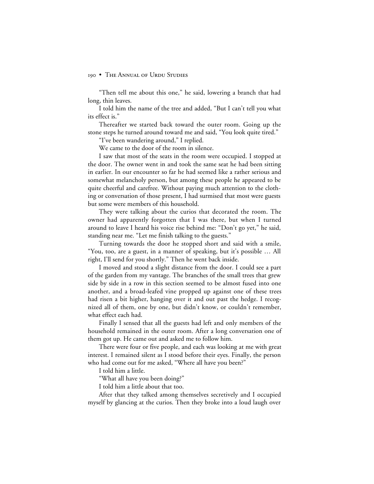"Then tell me about this one," he said, lowering a branch that had long, thin leaves.

I told him the name of the tree and added, "But I can't tell you what its effect is."

Thereafter we started back toward the outer room. Going up the stone steps he turned around toward me and said, "You look quite tired."

"I've been wandering around," I replied.

We came to the door of the room in silence.

I saw that most of the seats in the room were occupied. I stopped at the door. The owner went in and took the same seat he had been sitting in earlier. In our encounter so far he had seemed like a rather serious and somewhat melancholy person, but among these people he appeared to be quite cheerful and carefree. Without paying much attention to the clothing or conversation of those present, I had surmised that most were guests but some were members of this household.

They were talking about the curios that decorated the room. The owner had apparently forgotten that I was there, but when I turned around to leave I heard his voice rise behind me: "Don't go yet," he said, standing near me. "Let me finish talking to the guests."

Turning towards the door he stopped short and said with a smile, "You, too, are a guest, in a manner of speaking, but it's possible … All right, I'll send for you shortly." Then he went back inside.

I moved and stood a slight distance from the door. I could see a part of the garden from my vantage. The branches of the small trees that grew side by side in a row in this section seemed to be almost fused into one another, and a broad-leafed vine propped up against one of these trees had risen a bit higher, hanging over it and out past the hedge. I recognized all of them, one by one, but didn't know, or couldn't remember, what effect each had.

Finally I sensed that all the guests had left and only members of the household remained in the outer room. After a long conversation one of them got up. He came out and asked me to follow him.

There were four or five people, and each was looking at me with great interest. I remained silent as I stood before their eyes. Finally, the person who had come out for me asked, "Where all have you been?"

I told him a little.

"What all have you been doing?"

I told him a little about that too.

After that they talked among themselves secretively and I occupied myself by glancing at the curios. Then they broke into a loud laugh over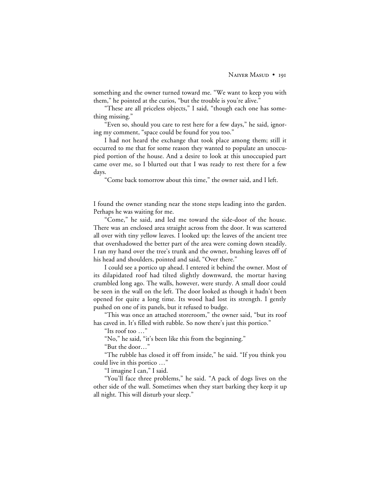something and the owner turned toward me. "We want to keep you with them," he pointed at the curios, "but the trouble is you're alive."

"These are all priceless objects," I said, "though each one has something missing."

"Even so, should you care to rest here for a few days," he said, ignoring my comment, "space could be found for you too."

I had not heard the exchange that took place among them; still it occurred to me that for some reason they wanted to populate an unoccupied portion of the house. And a desire to look at this unoccupied part came over me, so I blurted out that I was ready to rest there for a few days.

"Come back tomorrow about this time," the owner said, and I left.

I found the owner standing near the stone steps leading into the garden. Perhaps he was waiting for me.

"Come," he said, and led me toward the side-door of the house. There was an enclosed area straight across from the door. It was scattered all over with tiny yellow leaves. I looked up: the leaves of the ancient tree that overshadowed the better part of the area were coming down steadily. I ran my hand over the tree's trunk and the owner, brushing leaves off of his head and shoulders, pointed and said, "Over there."

I could see a portico up ahead. I entered it behind the owner. Most of its dilapidated roof had tilted slightly downward, the mortar having crumbled long ago. The walls, however, were sturdy. A small door could be seen in the wall on the left. The door looked as though it hadn't been opened for quite a long time. Its wood had lost its strength. I gently pushed on one of its panels, but it refused to budge.

"This was once an attached storeroom," the owner said, "but its roof has caved in. It's filled with rubble. So now there's just this portico."

"Its roof too …"

"No," he said, "it's been like this from the beginning."

"But the door…"

"The rubble has closed it off from inside," he said. "If you think you could live in this portico …"

"I imagine I can," I said.

"You'll face three problems," he said. "A pack of dogs lives on the other side of the wall. Sometimes when they start barking they keep it up all night. This will disturb your sleep."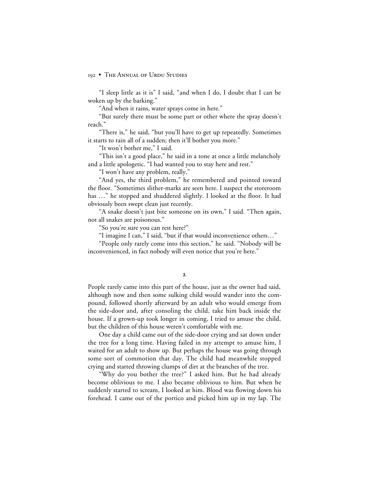"I sleep little as it is" I said, "and when I do, I doubt that I can be woken up by the barking."

"And when it rains, water sprays come in here."

"But surely there must be some part or other where the spray doesn't reach."

"There is," he said, "but you'll have to get up repeatedly. Sometimes it starts to rain all of a sudden; then it'll bother you more."

"It won't bother me," I said.

"This isn't a good place," he said in a tone at once a little melancholy and a little apologetic. "I had wanted you to stay here and rest."

"I won't have any problem, really."

"And yes, the third problem," he remembered and pointed toward the floor. "Sometimes slither-marks are seen here. I suspect the storeroom has …" he stopped and shuddered slightly. I looked at the floor. It had obviously been swept clean just recently.

"A snake doesn't just bite someone on its own," I said. "Then again, not all snakes are poisonous."

"So you're sure you can rest here?"

"I imagine I can," I said, "but if that would inconvenience others…"

"People only rarely come into this section," he said. "Nobody will be inconvenienced, in fact nobody will even notice that you're here."

People rarely came into this part of the house, just as the owner had said, although now and then some sulking child would wander into the compound, followed shortly afterward by an adult who would emerge from the side-door and, after consoling the child, take him back inside the house. If a grown-up took longer in coming, I tried to amuse the child, but the children of this house weren't comfortable with me.

One day a child came out of the side-door crying and sat down under the tree for a long time. Having failed in my attempt to amuse him, I waited for an adult to show up. But perhaps the house was going through some sort of commotion that day. The child had meanwhile stopped crying and started throwing clumps of dirt at the branches of the tree.

"Why do you bother the tree?" I asked him. But he had already become oblivious to me. I also became oblivious to him. But when he suddenly started to scream, I looked at him. Blood was flowing down his forehead. I came out of the portico and picked him up in my lap. The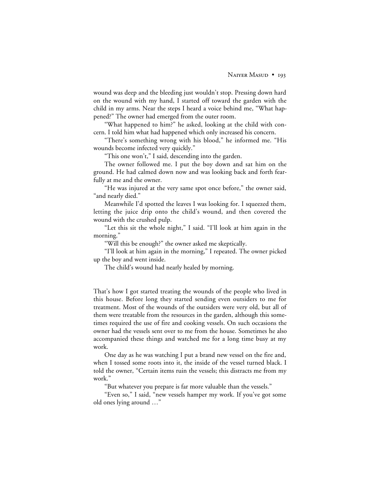wound was deep and the bleeding just wouldn't stop. Pressing down hard on the wound with my hand, I started off toward the garden with the child in my arms. Near the steps I heard a voice behind me, "What happened?" The owner had emerged from the outer room.

"What happened to him?" he asked, looking at the child with concern. I told him what had happened which only increased his concern.

"There's something wrong with his blood," he informed me. "His wounds become infected very quickly."

"This one won't," I said, descending into the garden.

The owner followed me. I put the boy down and sat him on the ground. He had calmed down now and was looking back and forth fearfully at me and the owner.

"He was injured at the very same spot once before," the owner said, "and nearly died."

Meanwhile I'd spotted the leaves I was looking for. I squeezed them, letting the juice drip onto the child's wound, and then covered the wound with the crushed pulp.

"Let this sit the whole night," I said. "I'll look at him again in the morning."

"Will this be enough?" the owner asked me skeptically.

"I'll look at him again in the morning," I repeated. The owner picked up the boy and went inside.

The child's wound had nearly healed by morning.

That's how I got started treating the wounds of the people who lived in this house. Before long they started sending even outsiders to me for treatment. Most of the wounds of the outsiders were very old, but all of them were treatable from the resources in the garden, although this sometimes required the use of fire and cooking vessels. On such occasions the owner had the vessels sent over to me from the house. Sometimes he also accompanied these things and watched me for a long time busy at my work.

One day as he was watching I put a brand new vessel on the fire and, when I tossed some roots into it, the inside of the vessel turned black. I told the owner, "Certain items ruin the vessels; this distracts me from my work."

"But whatever you prepare is far more valuable than the vessels."

"Even so," I said, "new vessels hamper my work. If you've got some old ones lying around …"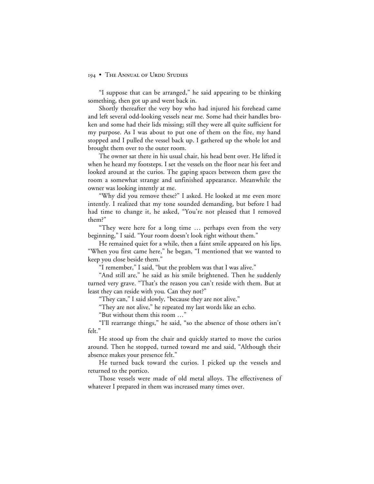"I suppose that can be arranged," he said appearing to be thinking something, then got up and went back in.

Shortly thereafter the very boy who had injured his forehead came and left several odd-looking vessels near me. Some had their handles broken and some had their lids missing; still they were all quite sufficient for my purpose. As I was about to put one of them on the fire, my hand stopped and I pulled the vessel back up. I gathered up the whole lot and brought them over to the outer room.

The owner sat there in his usual chair, his head bent over. He lifted it when he heard my footsteps. I set the vessels on the floor near his feet and looked around at the curios. The gaping spaces between them gave the room a somewhat strange and unfinished appearance. Meanwhile the owner was looking intently at me.

"Why did you remove these?" I asked. He looked at me even more intently. I realized that my tone sounded demanding, but before I had had time to change it, he asked, "You're not pleased that I removed them?"

"They were here for a long time … perhaps even from the very beginning," I said. "Your room doesn't look right without them."

He remained quiet for a while, then a faint smile appeared on his lips. "When you first came here," he began, "I mentioned that we wanted to keep you close beside them."

"I remember," I said, "but the problem was that I was alive."

"And still are," he said as his smile brightened. Then he suddenly turned very grave. "That's the reason you can't reside with them. But at least they can reside with you. Can they not?"

"They can," I said slowly, "because they are not alive."

"They are not alive," he repeated my last words like an echo.

"But without them this room …"

"I'll rearrange things," he said, "so the absence of those others isn't felt."

He stood up from the chair and quickly started to move the curios around. Then he stopped, turned toward me and said, "Although their absence makes your presence felt."

He turned back toward the curios. I picked up the vessels and returned to the portico.

Those vessels were made of old metal alloys. The effectiveness of whatever I prepared in them was increased many times over.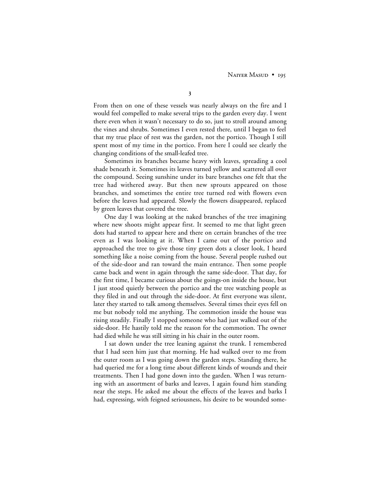NAIYER MASUD • 195

 $\overline{\mathbf{3}}$ 

From then on one of these vessels was nearly always on the fire and I would feel compelled to make several trips to the garden every day. I went there even when it wasn't necessary to do so, just to stroll around among the vines and shrubs. Sometimes I even rested there, until I began to feel that my true place of rest was the garden, not the portico. Though I still spent most of my time in the portico. From here I could see clearly the changing conditions of the small-leafed tree.

Sometimes its branches became heavy with leaves, spreading a cool shade beneath it. Sometimes its leaves turned yellow and scattered all over the compound. Seeing sunshine under its bare branches one felt that the tree had withered away. But then new sprouts appeared on those branches, and sometimes the entire tree turned red with flowers even before the leaves had appeared. Slowly the flowers disappeared, replaced by green leaves that covered the tree.

One day I was looking at the naked branches of the tree imagining where new shoots might appear first. It seemed to me that light green dots had started to appear here and there on certain branches of the tree even as I was looking at it. When I came out of the portico and approached the tree to give those tiny green dots a closer look, I heard something like a noise coming from the house. Several people rushed out of the side-door and ran toward the main entrance. Then some people came back and went in again through the same side-door. That day, for the first time, I became curious about the goings-on inside the house, but I just stood quietly between the portico and the tree watching people as they filed in and out through the side-door. At first everyone was silent, later they started to talk among themselves. Several times their eyes fell on me but nobody told me anything. The commotion inside the house was rising steadily. Finally I stopped someone who had just walked out of the side-door. He hastily told me the reason for the commotion. The owner had died while he was still sitting in his chair in the outer room.

I sat down under the tree leaning against the trunk. I remembered that I had seen him just that morning. He had walked over to me from the outer room as I was going down the garden steps. Standing there, he had queried me for a long time about different kinds of wounds and their treatments. Then I had gone down into the garden. When I was returning with an assortment of barks and leaves, I again found him standing near the steps. He asked me about the effects of the leaves and barks I had, expressing, with feigned seriousness, his desire to be wounded some-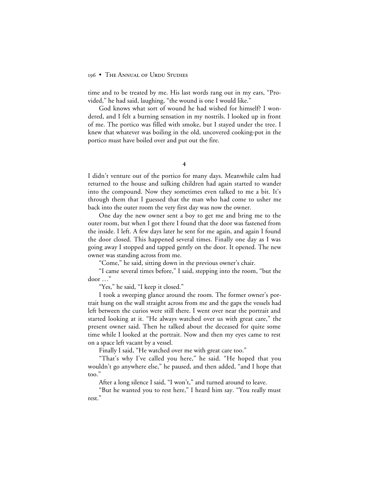time and to be treated by me. His last words rang out in my ears, "Provided," he had said, laughing, "the wound is one I would like."

God knows what sort of wound he had wished for himself? I wondered, and I felt a burning sensation in my nostrils. I looked up in front of me. The portico was filled with smoke, but I stayed under the tree. I knew that whatever was boiling in the old, uncovered cooking-pot in the portico must have boiled over and put out the fire.

 $\overline{4}$ 

I didn't venture out of the portico for many days. Meanwhile calm had returned to the house and sulking children had again started to wander into the compound. Now they sometimes even talked to me a bit. It's through them that I guessed that the man who had come to usher me back into the outer room the very first day was now the owner.

One day the new owner sent a boy to get me and bring me to the outer room, but when I got there I found that the door was fastened from the inside. I left. A few days later he sent for me again, and again I found the door closed. This happened several times. Finally one day as I was going away I stopped and tapped gently on the door. It opened. The new owner was standing across from me.

"Come," he said, sitting down in the previous owner's chair.

"I came several times before," I said, stepping into the room, "but the door …"

"Yes," he said, "I keep it closed."

I took a sweeping glance around the room. The former owner's portrait hung on the wall straight across from me and the gaps the vessels had left between the curios were still there. I went over near the portrait and started looking at it. "He always watched over us with great care," the present owner said. Then he talked about the deceased for quite some time while I looked at the portrait. Now and then my eyes came to rest on a space left vacant by a vessel.

Finally I said, "He watched over me with great care too."

"That's why I've called you here," he said. "He hoped that you wouldn't go anywhere else," he paused, and then added, "and I hope that too."

After a long silence I said, "I won't," and turned around to leave.

"But he wanted you to rest here," I heard him say. "You really must rest."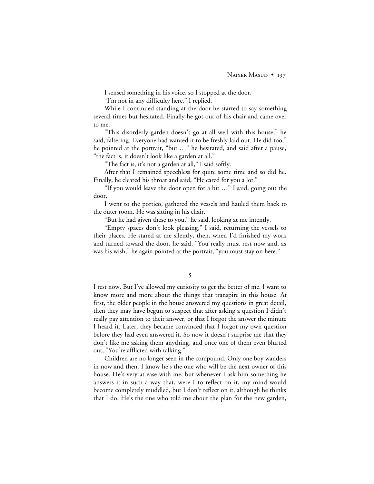I sensed something in his voice, so I stopped at the door.

"I'm not in any difficulty here," I replied.

While I continued standing at the door he started to say something several times but hesitated. Finally he got out of his chair and came over to me.

"This disorderly garden doesn't go at all well with this house," he said, faltering. Everyone had wanted it to be freshly laid out. He did too," he pointed at the portrait, "but …" he hesitated, and said after a pause, "the fact is, it doesn't look like a garden at all."

"The fact is, it's not a garden at all," I said softly.

After that I remained speechless for quite some time and so did he. Finally, he cleared his throat and said, "He cared for you a lot."

"If you would leave the door open for a bit …" I said, going out the door.

I went to the portico, gathered the vessels and hauled them back to the outer room. He was sitting in his chair.

"But he had given these to you," he said, looking at me intently.

"Empty spaces don't look pleasing," I said, returning the vessels to their places. He stared at me silently, then, when I'd finished my work and turned toward the door, he said, "You really must rest now and, as was his wish," he again pointed at the portrait, "you must stay on here."

I rest now. But I've allowed my curiosity to get the better of me. I want to know more and more about the things that transpire in this house. At first, the older people in the house answered my questions in great detail, then they may have begun to suspect that after asking a question I didn't really pay attention to their answer, or that I forgot the answer the minute I heard it. Later, they became convinced that I forgot my own question before they had even answered it. So now it doesn't surprise me that they don't like me asking them anything, and once one of them even blurted out, "You're afflicted with talking."

Children are no longer seen in the compound. Only one boy wanders in now and then. I know he's the one who will be the next owner of this house. He's very at ease with me, but whenever I ask him something he answers it in such a way that, were I to reflect on it, my mind would become completely muddled, but I don't reflect on it, although he thinks that I do. He's the one who told me about the plan for the new garden,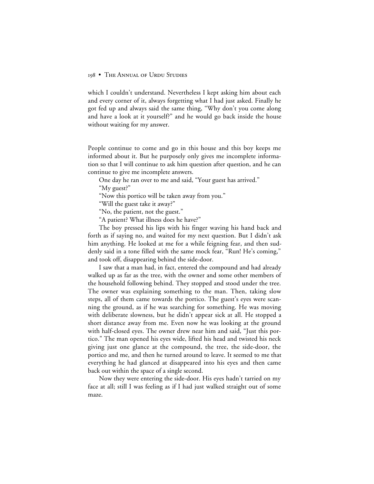which I couldn't understand. Nevertheless I kept asking him about each and every corner of it, always forgetting what I had just asked. Finally he got fed up and always said the same thing, "Why don't you come along and have a look at it yourself?" and he would go back inside the house without waiting for my answer.

People continue to come and go in this house and this boy keeps me informed about it. But he purposely only gives me incomplete information so that I will continue to ask him question after question, and he can continue to give me incomplete answers.

One day he ran over to me and said, "Your guest has arrived."

"My guest?"

"Now this portico will be taken away from you."

"Will the guest take it away?"

"No, the patient, not the guest."

"A patient? What illness does he have?"

The boy pressed his lips with his finger waving his hand back and forth as if saying no, and waited for my next question. But I didn't ask him anything. He looked at me for a while feigning fear, and then suddenly said in a tone filled with the same mock fear, "Run! He's coming," and took off, disappearing behind the side-door.

I saw that a man had, in fact, entered the compound and had already walked up as far as the tree, with the owner and some other members of the household following behind. They stopped and stood under the tree. The owner was explaining something to the man. Then, taking slow steps, all of them came towards the portico. The guest's eyes were scanning the ground, as if he was searching for something. He was moving with deliberate slowness, but he didn't appear sick at all. He stopped a short distance away from me. Even now he was looking at the ground with half-closed eyes. The owner drew near him and said, "Just this portico." The man opened his eyes wide, lifted his head and twisted his neck giving just one glance at the compound, the tree, the side-door, the portico and me, and then he turned around to leave. It seemed to me that everything he had glanced at disappeared into his eyes and then came back out within the space of a single second.

Now they were entering the side-door. His eyes hadn't tarried on my face at all; still I was feeling as if I had just walked straight out of some maze.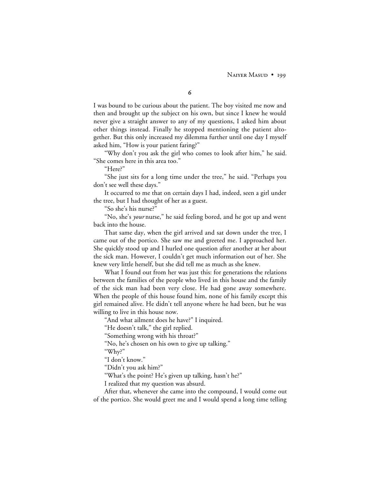NAIYER MASUD • 199

I was bound to be curious about the patient. The boy visited me now and then and brought up the subject on his own, but since I knew he would never give a straight answer to any of my questions, I asked him about other things instead. Finally he stopped mentioning the patient altogether. But this only increased my dilemma further until one day I myself asked him, "How is your patient faring?"

"Why don't you ask the girl who comes to look after him," he said. "She comes here in this area too."

"Here?"

"She just sits for a long time under the tree," he said. "Perhaps you don't see well these days."

It occurred to me that on certain days I had, indeed, seen a girl under the tree, but I had thought of her as a guest.

"So she's his nurse?"

"No, she's *your* nurse," he said feeling bored, and he got up and went back into the house.

That same day, when the girl arrived and sat down under the tree, I came out of the portico. She saw me and greeted me. I approached her. She quickly stood up and I hurled one question after another at her about the sick man. However, I couldn't get much information out of her. She knew very little herself, but she did tell me as much as she knew.

What I found out from her was just this: for generations the relations between the families of the people who lived in this house and the family of the sick man had been very close. He had gone away somewhere. When the people of this house found him, none of his family except this girl remained alive. He didn't tell anyone where he had been, but he was willing to live in this house now.

"And what ailment does he have?" I inquired.

"He doesn't talk," the girl replied.

"Something wrong with his throat?"

"No, he's chosen on his own to give up talking."

"Why?"

"I don't know."

"Didn't you ask him?"

"What's the point? He's given up talking, hasn't he?"

I realized that my question was absurd.

After that, whenever she came into the compound, I would come out of the portico. She would greet me and I would spend a long time telling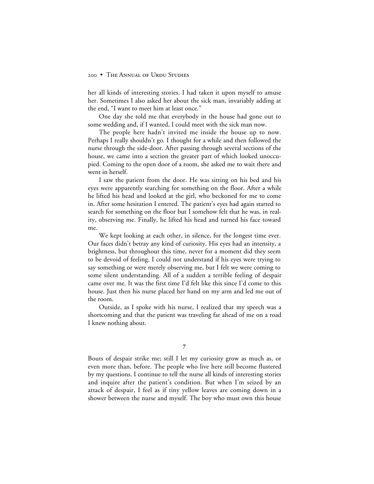her all kinds of interesting stories. I had taken it upon myself to amuse her. Sometimes I also asked her about the sick man, invariably adding at the end, "I want to meet him at least once."

One day she told me that everybody in the house had gone out to some wedding and, if I wanted, I could meet with the sick man now.

The people here hadn't invited me inside the house up to now. Perhaps I really shouldn't go. I thought for a while and then followed the nurse through the side-door. After passing through several sections of the house, we came into a section the greater part of which looked unoccupied. Coming to the open door of a room, she asked me to wait there and went in herself.

I saw the patient from the door. He was sitting on his bed and his eyes were apparently searching for something on the floor. After a while he lifted his head and looked at the girl, who beckoned for me to come in. After some hesitation I entered. The patient's eyes had again started to search for something on the floor but I somehow felt that he was, in reality, observing me. Finally, he lifted his head and turned his face toward me.

We kept looking at each other, in silence, for the longest time ever. Our faces didn't betray any kind of curiosity. His eyes had an intensity, a brightness, but throughout this time, never for a moment did they seem to be devoid of feeling. I could not understand if his eyes were trying to say something or were merely observing me, but I felt we were coming to some silent understanding. All of a sudden a terrible feeling of despair came over me. It was the first time I'd felt like this since I'd come to this house. Just then his nurse placed her hand on my arm and led me out of the room.

Outside, as I spoke with his nurse, I realized that my speech was a shortcoming and that the patient was traveling far ahead of me on a road I knew nothing about.

 $\overline{7}$ 

Bouts of despair strike me; still I let my curiosity grow as much as, or even more than, before. The people who live here still become flustered by my questions. I continue to tell the nurse all kinds of interesting stories and inquire after the patient's condition. But when I'm seized by an attack of despair, I feel as if tiny yellow leaves are coming down in a shower between the nurse and myself. The boy who must own this house